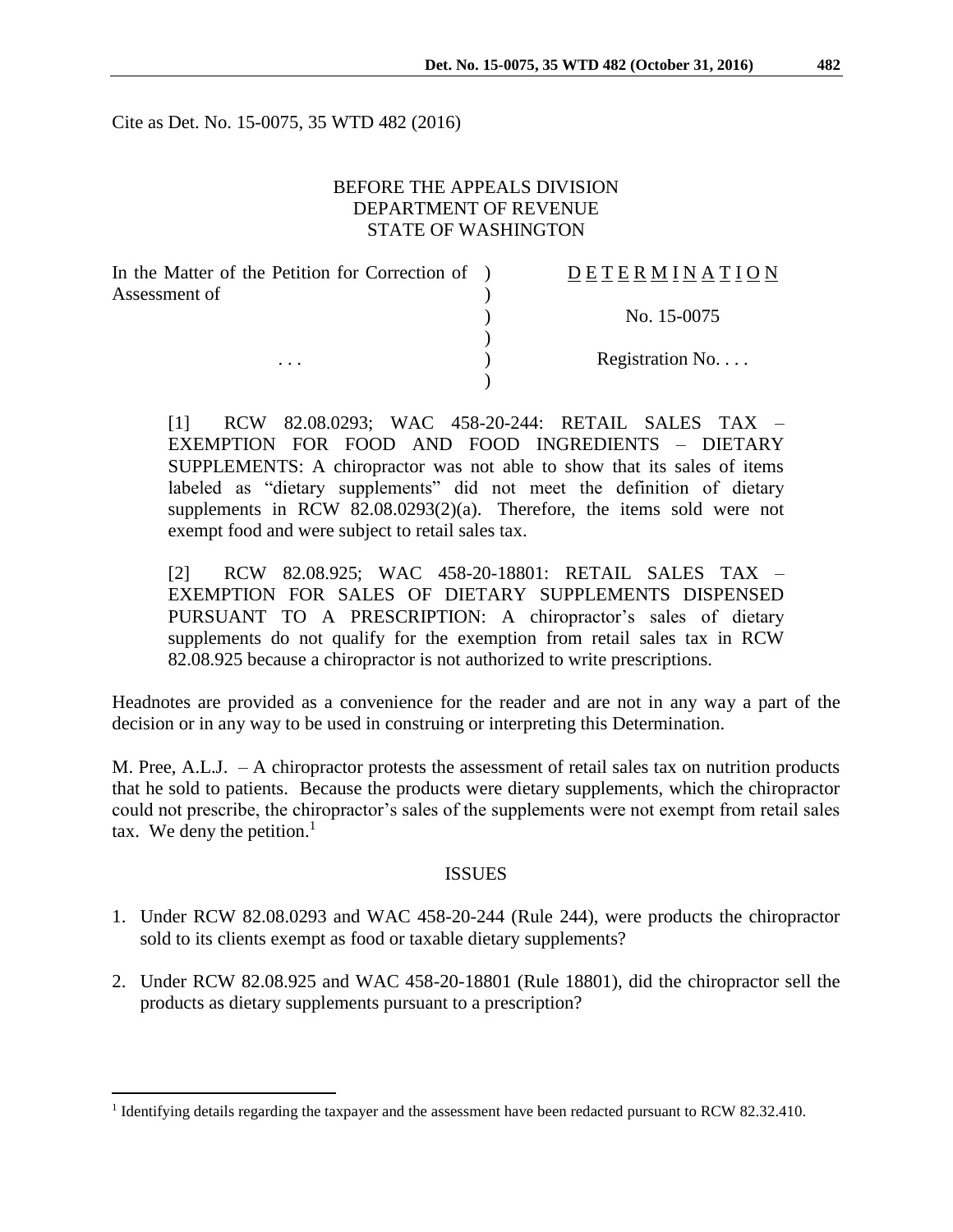Cite as Det. No. 15-0075, 35 WTD 482 (2016)

# BEFORE THE APPEALS DIVISION DEPARTMENT OF REVENUE STATE OF WASHINGTON

| In the Matter of the Petition for Correction of ) | DETERMINATION   |
|---------------------------------------------------|-----------------|
| Assessment of<br>$\cdots$                         |                 |
|                                                   | No. 15-0075     |
|                                                   |                 |
|                                                   | Registration No |
|                                                   |                 |

[1] RCW 82.08.0293; WAC 458-20-244: RETAIL SALES TAX – EXEMPTION FOR FOOD AND FOOD INGREDIENTS – DIETARY SUPPLEMENTS: A chiropractor was not able to show that its sales of items labeled as "dietary supplements" did not meet the definition of dietary supplements in RCW 82.08.0293(2)(a). Therefore, the items sold were not exempt food and were subject to retail sales tax.

[2] RCW 82.08.925; WAC 458-20-18801: RETAIL SALES TAX – EXEMPTION FOR SALES OF DIETARY SUPPLEMENTS DISPENSED PURSUANT TO A PRESCRIPTION: A chiropractor's sales of dietary supplements do not qualify for the exemption from retail sales tax in RCW 82.08.925 because a chiropractor is not authorized to write prescriptions.

Headnotes are provided as a convenience for the reader and are not in any way a part of the decision or in any way to be used in construing or interpreting this Determination.

M. Pree, A.L.J. – A chiropractor protests the assessment of retail sales tax on nutrition products that he sold to patients. Because the products were dietary supplements, which the chiropractor could not prescribe, the chiropractor's sales of the supplements were not exempt from retail sales tax. We deny the petition. $<sup>1</sup>$ </sup>

#### ISSUES

- 1. Under RCW 82.08.0293 and WAC 458-20-244 (Rule 244), were products the chiropractor sold to its clients exempt as food or taxable dietary supplements?
- 2. Under RCW 82.08.925 and WAC 458-20-18801 (Rule 18801), did the chiropractor sell the products as dietary supplements pursuant to a prescription?

 $\overline{a}$ 

<sup>&</sup>lt;sup>1</sup> Identifying details regarding the taxpayer and the assessment have been redacted pursuant to RCW 82.32.410.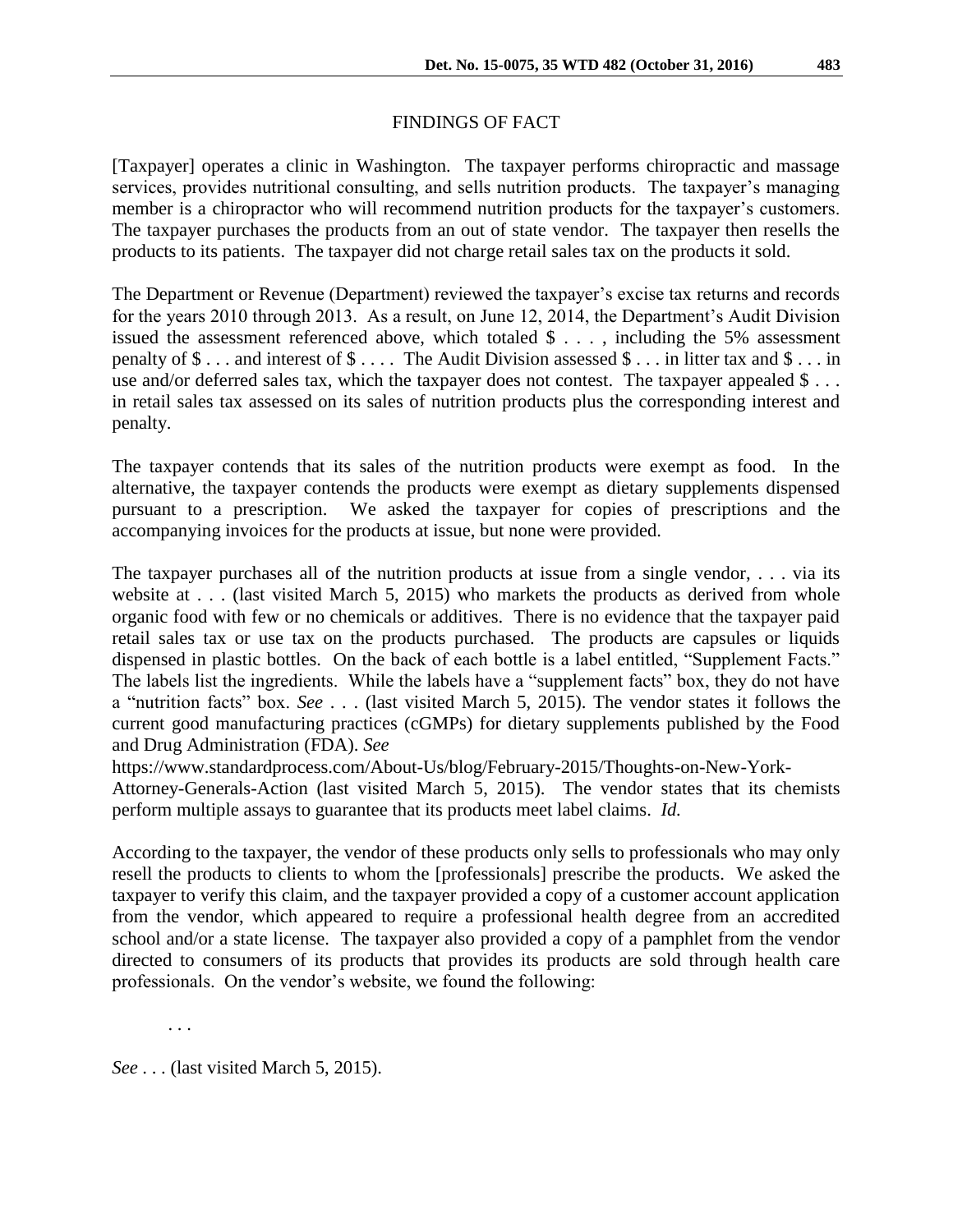# FINDINGS OF FACT

[Taxpayer] operates a clinic in Washington. The taxpayer performs chiropractic and massage services, provides nutritional consulting, and sells nutrition products. The taxpayer's managing member is a chiropractor who will recommend nutrition products for the taxpayer's customers. The taxpayer purchases the products from an out of state vendor. The taxpayer then resells the products to its patients. The taxpayer did not charge retail sales tax on the products it sold.

The Department or Revenue (Department) reviewed the taxpayer's excise tax returns and records for the years 2010 through 2013. As a result, on June 12, 2014, the Department's Audit Division issued the assessment referenced above, which totaled  $\frac{1}{2}$ ..., including the 5% assessment penalty of \$ . . . and interest of \$ . . . . The Audit Division assessed \$ . . . in litter tax and \$ . . . in use and/or deferred sales tax, which the taxpayer does not contest. The taxpayer appealed \$ . . . in retail sales tax assessed on its sales of nutrition products plus the corresponding interest and penalty.

The taxpayer contends that its sales of the nutrition products were exempt as food. In the alternative, the taxpayer contends the products were exempt as dietary supplements dispensed pursuant to a prescription. We asked the taxpayer for copies of prescriptions and the accompanying invoices for the products at issue, but none were provided.

The taxpayer purchases all of the nutrition products at issue from a single vendor, . . . via its website at . . . (last visited March 5, 2015) who markets the products as derived from whole organic food with few or no chemicals or additives. There is no evidence that the taxpayer paid retail sales tax or use tax on the products purchased. The products are capsules or liquids dispensed in plastic bottles. On the back of each bottle is a label entitled, "Supplement Facts." The labels list the ingredients. While the labels have a "supplement facts" box, they do not have a "nutrition facts" box. *See* . . . (last visited March 5, 2015). The vendor states it follows the current good manufacturing practices (cGMPs) for dietary supplements published by the Food and Drug Administration (FDA). *See*

https://www.standardprocess.com/About-Us/blog/February-2015/Thoughts-on-New-York-Attorney-Generals-Action (last visited March 5, 2015). The vendor states that its chemists perform multiple assays to guarantee that its products meet label claims. *Id.*

According to the taxpayer, the vendor of these products only sells to professionals who may only resell the products to clients to whom the [professionals] prescribe the products. We asked the taxpayer to verify this claim, and the taxpayer provided a copy of a customer account application from the vendor, which appeared to require a professional health degree from an accredited school and/or a state license. The taxpayer also provided a copy of a pamphlet from the vendor directed to consumers of its products that provides its products are sold through health care professionals. On the vendor's website, we found the following:

. . .

*See* . . . (last visited March 5, 2015).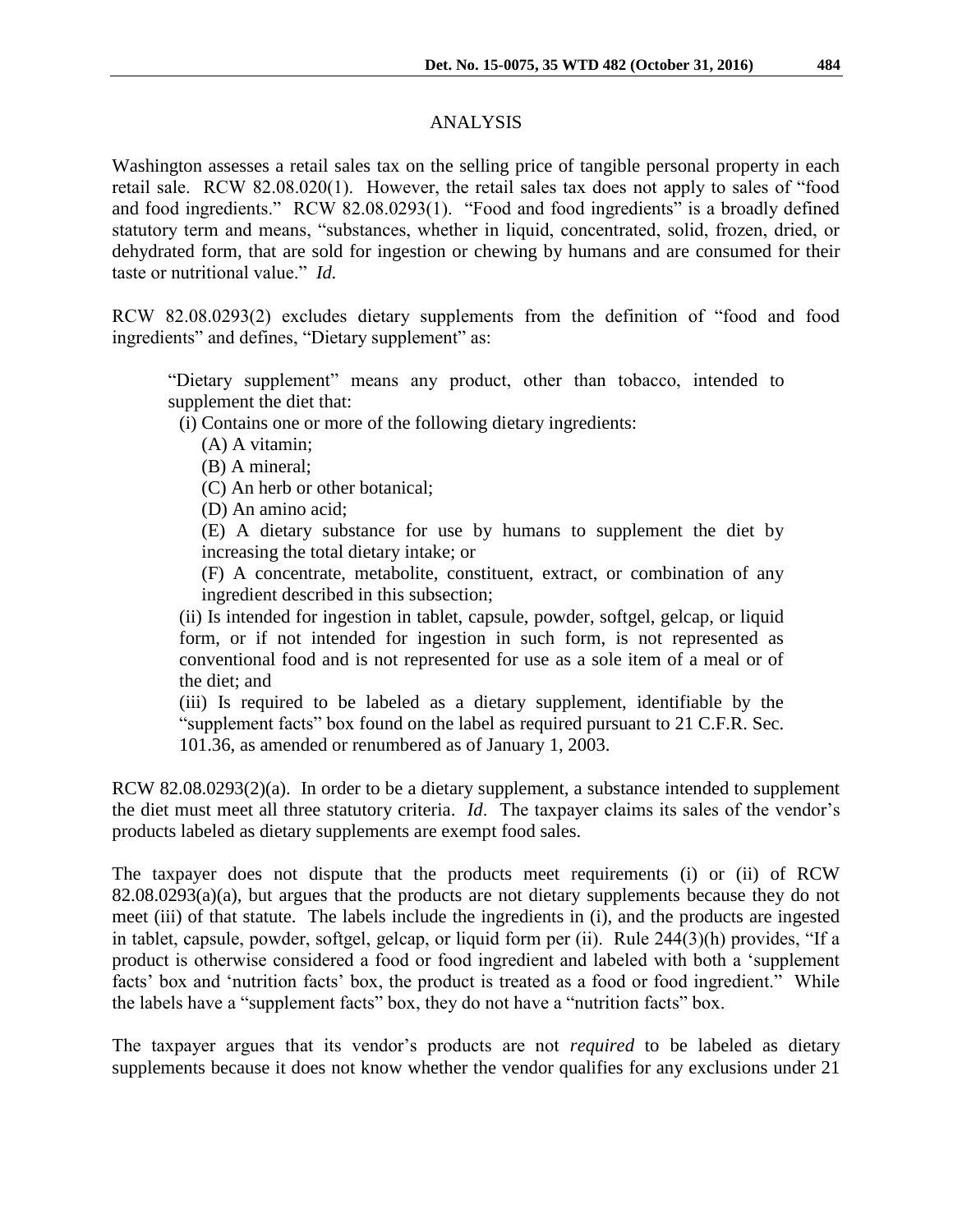### ANALYSIS

Washington assesses a retail sales tax on the selling price of tangible personal property in each retail sale. RCW 82.08.020(1). However, the retail sales tax does not apply to sales of "food and food ingredients." RCW 82.08.0293(1). "Food and food ingredients" is a broadly defined statutory term and means, "substances, whether in liquid, concentrated, solid, frozen, dried, or dehydrated form, that are sold for ingestion or chewing by humans and are consumed for their taste or nutritional value." *Id.*

RCW 82.08.0293(2) excludes dietary supplements from the definition of "food and food ingredients" and defines, "Dietary supplement" as:

"Dietary supplement" means any product, other than tobacco, intended to supplement the diet that:

(i) Contains one or more of the following dietary ingredients:

(A) A vitamin;

(B) A mineral;

(C) An herb or other botanical;

(D) An amino acid;

(E) A dietary substance for use by humans to supplement the diet by increasing the total dietary intake; or

(F) A concentrate, metabolite, constituent, extract, or combination of any ingredient described in this subsection;

(ii) Is intended for ingestion in tablet, capsule, powder, softgel, gelcap, or liquid form, or if not intended for ingestion in such form, is not represented as conventional food and is not represented for use as a sole item of a meal or of the diet; and

(iii) Is required to be labeled as a dietary supplement, identifiable by the "supplement facts" box found on the label as required pursuant to 21 C.F.R. Sec. 101.36, as amended or renumbered as of January 1, 2003.

RCW 82.08.0293(2)(a). In order to be a dietary supplement, a substance intended to supplement the diet must meet all three statutory criteria. *Id*. The taxpayer claims its sales of the vendor's products labeled as dietary supplements are exempt food sales.

The taxpayer does not dispute that the products meet requirements (i) or (ii) of RCW 82.08.0293(a)(a), but argues that the products are not dietary supplements because they do not meet (iii) of that statute. The labels include the ingredients in (i), and the products are ingested in tablet, capsule, powder, softgel, gelcap, or liquid form per (ii). Rule 244(3)(h) provides, "If a product is otherwise considered a food or food ingredient and labeled with both a 'supplement facts' box and 'nutrition facts' box, the product is treated as a food or food ingredient." While the labels have a "supplement facts" box, they do not have a "nutrition facts" box.

The taxpayer argues that its vendor's products are not *required* to be labeled as dietary supplements because it does not know whether the vendor qualifies for any exclusions under 21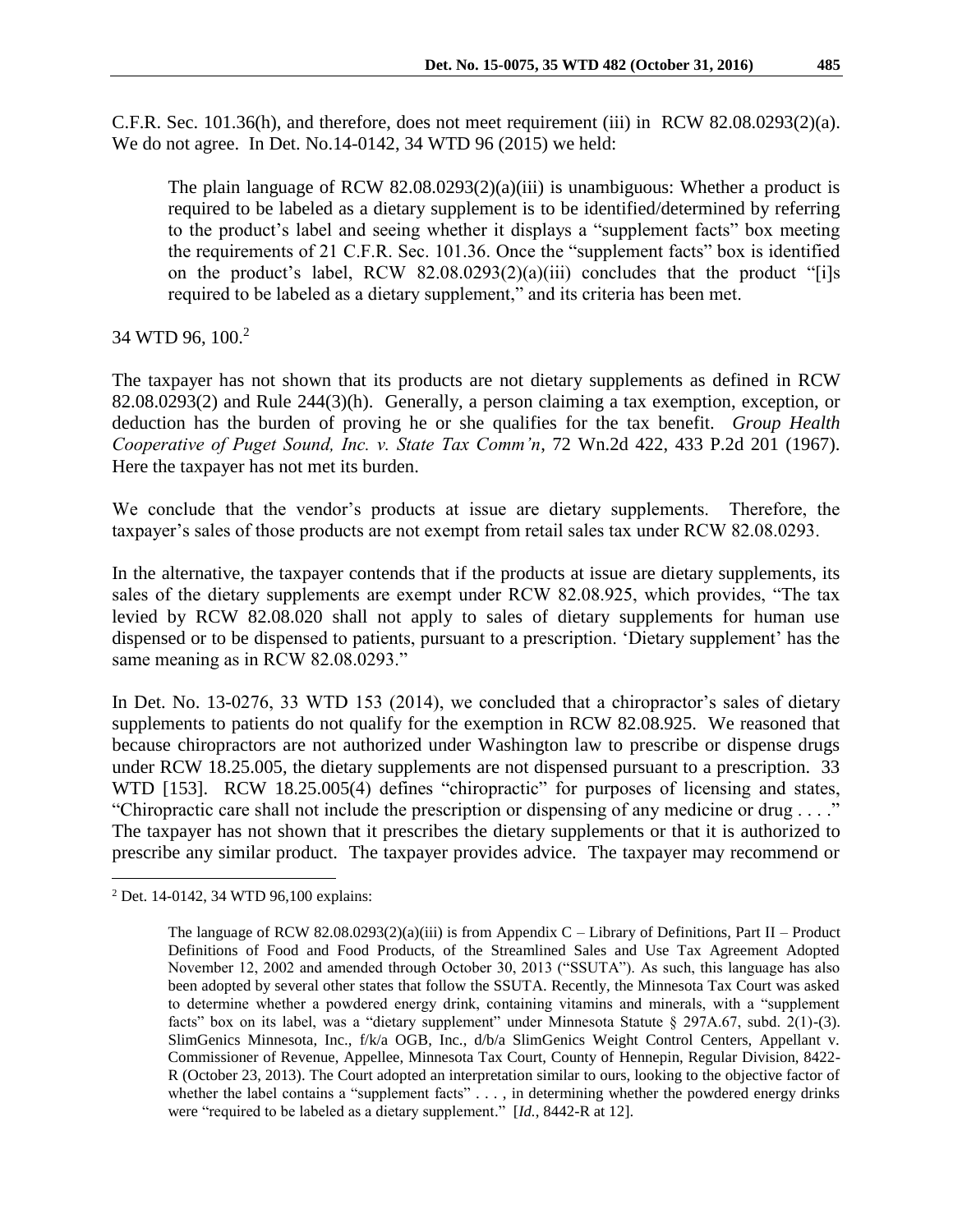C.F.R. Sec. 101.36(h), and therefore, does not meet requirement (iii) in RCW 82.08.0293(2)(a). We do not agree. In Det. No.14-0142, 34 WTD 96 (2015) we held:

The plain language of RCW  $82.08.0293(2)(a)(iii)$  is unambiguous: Whether a product is required to be labeled as a dietary supplement is to be identified/determined by referring to the product's label and seeing whether it displays a "supplement facts" box meeting the requirements of 21 C.F.R. Sec. 101.36. Once the "supplement facts" box is identified on the product's label, RCW 82.08.0293(2)(a)(iii) concludes that the product "[i]s required to be labeled as a dietary supplement," and its criteria has been met.

# 34 WTD 96, 100.<sup>2</sup>

The taxpayer has not shown that its products are not dietary supplements as defined in RCW 82.08.0293(2) and Rule 244(3)(h). Generally, a person claiming a tax exemption, exception, or deduction has the burden of proving he or she qualifies for the tax benefit. *Group Health Cooperative of Puget Sound, Inc. v. State Tax Comm'n*, 72 Wn.2d 422, 433 P.2d 201 (1967). Here the taxpayer has not met its burden.

We conclude that the vendor's products at issue are dietary supplements. Therefore, the taxpayer's sales of those products are not exempt from retail sales tax under RCW 82.08.0293.

In the alternative, the taxpayer contends that if the products at issue are dietary supplements, its sales of the dietary supplements are exempt under RCW 82.08.925, which provides, "The tax levied by RCW 82.08.020 shall not apply to sales of dietary supplements for human use dispensed or to be dispensed to patients, pursuant to a prescription. 'Dietary supplement' has the same meaning as in RCW 82.08.0293."

In Det. No. 13-0276, 33 WTD 153 (2014), we concluded that a chiropractor's sales of dietary supplements to patients do not qualify for the exemption in RCW 82.08.925. We reasoned that because chiropractors are not authorized under Washington law to prescribe or dispense drugs under RCW 18.25.005, the dietary supplements are not dispensed pursuant to a prescription. 33 WTD [153]. RCW 18.25.005(4) defines "chiropractic" for purposes of licensing and states, "Chiropractic care shall not include the prescription or dispensing of any medicine or drug . . . ." The taxpayer has not shown that it prescribes the dietary supplements or that it is authorized to prescribe any similar product. The taxpayer provides advice. The taxpayer may recommend or

 $\overline{a}$ 

<sup>2</sup> Det. 14-0142, 34 WTD 96,100 explains:

The language of RCW 82.08.0293(2)(a)(iii) is from Appendix C – Library of Definitions, Part II – Product Definitions of Food and Food Products, of the Streamlined Sales and Use Tax Agreement Adopted November 12, 2002 and amended through October 30, 2013 ("SSUTA"). As such, this language has also been adopted by several other states that follow the SSUTA. Recently, the Minnesota Tax Court was asked to determine whether a powdered energy drink, containing vitamins and minerals, with a "supplement facts" box on its label, was a "dietary supplement" under Minnesota Statute § 297A.67, subd. 2(1)-(3). SlimGenics Minnesota, Inc., f/k/a OGB, Inc., d/b/a SlimGenics Weight Control Centers, Appellant v. Commissioner of Revenue, Appellee, Minnesota Tax Court, County of Hennepin, Regular Division, 8422- R (October 23, 2013). The Court adopted an interpretation similar to ours, looking to the objective factor of whether the label contains a "supplement facts" . . . , in determining whether the powdered energy drinks were "required to be labeled as a dietary supplement." [*Id.*, 8442-R at 12].